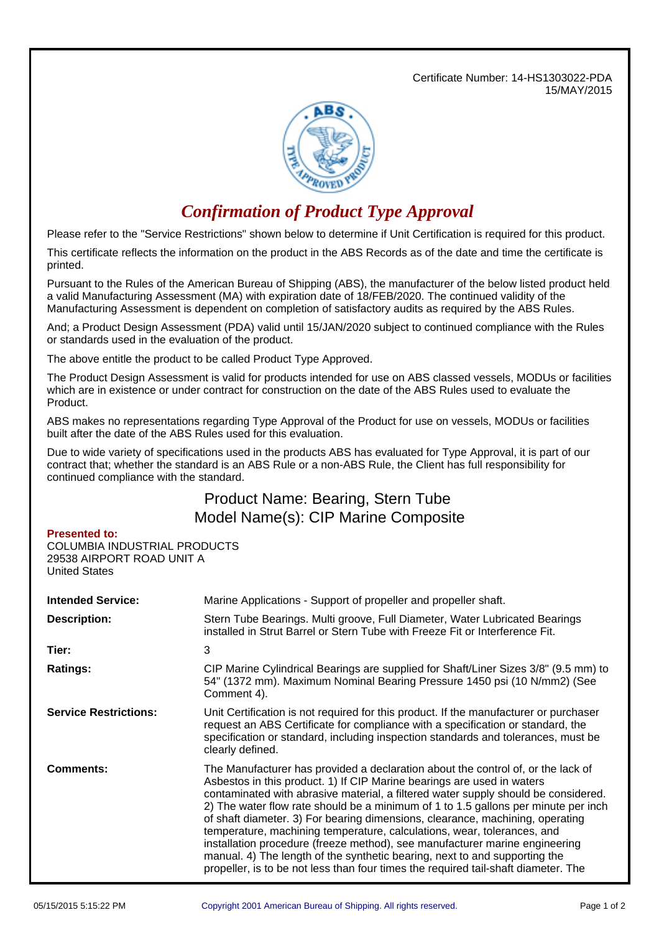Certificate Number: 14-HS1303022-PDA 15/MAY/2015



## *Confirmation of Product Type Approval*

Please refer to the "Service Restrictions" shown below to determine if Unit Certification is required for this product.

This certificate reflects the information on the product in the ABS Records as of the date and time the certificate is printed.

Pursuant to the Rules of the American Bureau of Shipping (ABS), the manufacturer of the below listed product held a valid Manufacturing Assessment (MA) with expiration date of 18/FEB/2020. The continued validity of the Manufacturing Assessment is dependent on completion of satisfactory audits as required by the ABS Rules.

And; a Product Design Assessment (PDA) valid until 15/JAN/2020 subject to continued compliance with the Rules or standards used in the evaluation of the product.

The above entitle the product to be called Product Type Approved.

The Product Design Assessment is valid for products intended for use on ABS classed vessels, MODUs or facilities which are in existence or under contract for construction on the date of the ABS Rules used to evaluate the Product.

ABS makes no representations regarding Type Approval of the Product for use on vessels, MODUs or facilities built after the date of the ABS Rules used for this evaluation.

Due to wide variety of specifications used in the products ABS has evaluated for Type Approval, it is part of our contract that; whether the standard is an ABS Rule or a non-ABS Rule, the Client has full responsibility for continued compliance with the standard.

## Product Name: Bearing, Stern Tube Model Name(s): CIP Marine Composite

## **Presented to:**

COLUMBIA INDUSTRIAL PRODUCTS 29538 AIRPORT ROAD UNIT A United States

| <b>Intended Service:</b>     | Marine Applications - Support of propeller and propeller shaft.                                                                                                                                                                                                                                                                                                                                                                                                                                                                                                                                                                                                                                                                                       |  |  |
|------------------------------|-------------------------------------------------------------------------------------------------------------------------------------------------------------------------------------------------------------------------------------------------------------------------------------------------------------------------------------------------------------------------------------------------------------------------------------------------------------------------------------------------------------------------------------------------------------------------------------------------------------------------------------------------------------------------------------------------------------------------------------------------------|--|--|
| <b>Description:</b>          | Stern Tube Bearings. Multi groove, Full Diameter, Water Lubricated Bearings<br>installed in Strut Barrel or Stern Tube with Freeze Fit or Interference Fit.                                                                                                                                                                                                                                                                                                                                                                                                                                                                                                                                                                                           |  |  |
| Tier:                        | 3                                                                                                                                                                                                                                                                                                                                                                                                                                                                                                                                                                                                                                                                                                                                                     |  |  |
| <b>Ratings:</b>              | CIP Marine Cylindrical Bearings are supplied for Shaft/Liner Sizes 3/8" (9.5 mm) to<br>54" (1372 mm). Maximum Nominal Bearing Pressure 1450 psi (10 N/mm2) (See<br>Comment 4).                                                                                                                                                                                                                                                                                                                                                                                                                                                                                                                                                                        |  |  |
| <b>Service Restrictions:</b> | Unit Certification is not required for this product. If the manufacturer or purchaser<br>request an ABS Certificate for compliance with a specification or standard, the<br>specification or standard, including inspection standards and tolerances, must be<br>clearly defined.                                                                                                                                                                                                                                                                                                                                                                                                                                                                     |  |  |
| <b>Comments:</b>             | The Manufacturer has provided a declaration about the control of, or the lack of<br>Asbestos in this product. 1) If CIP Marine bearings are used in waters<br>contaminated with abrasive material, a filtered water supply should be considered.<br>2) The water flow rate should be a minimum of 1 to 1.5 gallons per minute per inch<br>of shaft diameter. 3) For bearing dimensions, clearance, machining, operating<br>temperature, machining temperature, calculations, wear, tolerances, and<br>installation procedure (freeze method), see manufacturer marine engineering<br>manual. 4) The length of the synthetic bearing, next to and supporting the<br>propeller, is to be not less than four times the required tail-shaft diameter. The |  |  |